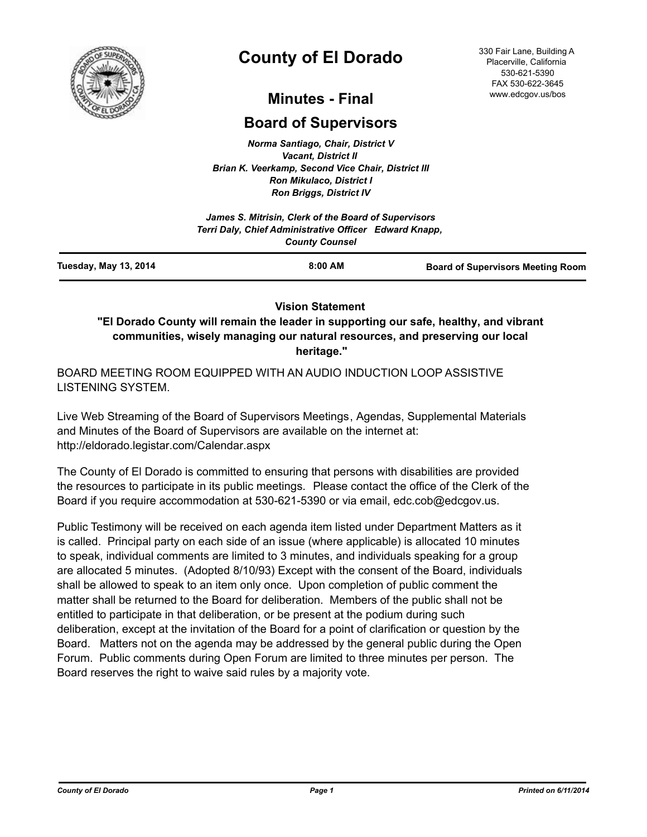

# **County of El Dorado**

## **Minutes - Final**

## **Board of Supervisors**

*Norma Santiago, Chair, District V Vacant, District II Brian K. Veerkamp, Second Vice Chair, District III Ron Mikulaco, District I Ron Briggs, District IV*

|                              | James S. Mitrisin, Clerk of the Board of Supervisors<br>Terri Daly, Chief Administrative Officer Edward Knapp,<br><b>County Counsel</b> |                                          |  |
|------------------------------|-----------------------------------------------------------------------------------------------------------------------------------------|------------------------------------------|--|
| <b>Tuesday, May 13, 2014</b> | $8:00$ AM                                                                                                                               | <b>Board of Supervisors Meeting Room</b> |  |

### **Vision Statement**

**"El Dorado County will remain the leader in supporting our safe, healthy, and vibrant communities, wisely managing our natural resources, and preserving our local heritage."**

BOARD MEETING ROOM EQUIPPED WITH AN AUDIO INDUCTION LOOP ASSISTIVE LISTENING SYSTEM.

Live Web Streaming of the Board of Supervisors Meetings, Agendas, Supplemental Materials and Minutes of the Board of Supervisors are available on the internet at: http://eldorado.legistar.com/Calendar.aspx

The County of El Dorado is committed to ensuring that persons with disabilities are provided the resources to participate in its public meetings. Please contact the office of the Clerk of the Board if you require accommodation at 530-621-5390 or via email, edc.cob@edcgov.us.

Public Testimony will be received on each agenda item listed under Department Matters as it is called. Principal party on each side of an issue (where applicable) is allocated 10 minutes to speak, individual comments are limited to 3 minutes, and individuals speaking for a group are allocated 5 minutes. (Adopted 8/10/93) Except with the consent of the Board, individuals shall be allowed to speak to an item only once. Upon completion of public comment the matter shall be returned to the Board for deliberation. Members of the public shall not be entitled to participate in that deliberation, or be present at the podium during such deliberation, except at the invitation of the Board for a point of clarification or question by the Board. Matters not on the agenda may be addressed by the general public during the Open Forum. Public comments during Open Forum are limited to three minutes per person. The Board reserves the right to waive said rules by a majority vote.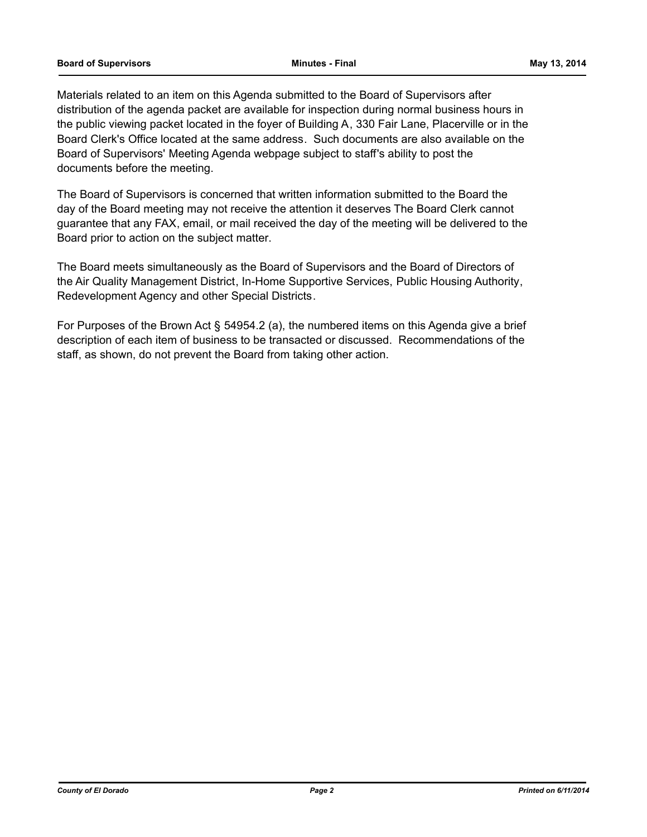#### **Board of Supervisors Minutes - Final May 13, 2014**

Materials related to an item on this Agenda submitted to the Board of Supervisors after distribution of the agenda packet are available for inspection during normal business hours in the public viewing packet located in the foyer of Building A, 330 Fair Lane, Placerville or in the Board Clerk's Office located at the same address. Such documents are also available on the Board of Supervisors' Meeting Agenda webpage subject to staff's ability to post the documents before the meeting.

The Board of Supervisors is concerned that written information submitted to the Board the day of the Board meeting may not receive the attention it deserves The Board Clerk cannot guarantee that any FAX, email, or mail received the day of the meeting will be delivered to the Board prior to action on the subject matter.

The Board meets simultaneously as the Board of Supervisors and the Board of Directors of the Air Quality Management District, In-Home Supportive Services, Public Housing Authority, Redevelopment Agency and other Special Districts.

For Purposes of the Brown Act § 54954.2 (a), the numbered items on this Agenda give a brief description of each item of business to be transacted or discussed. Recommendations of the staff, as shown, do not prevent the Board from taking other action.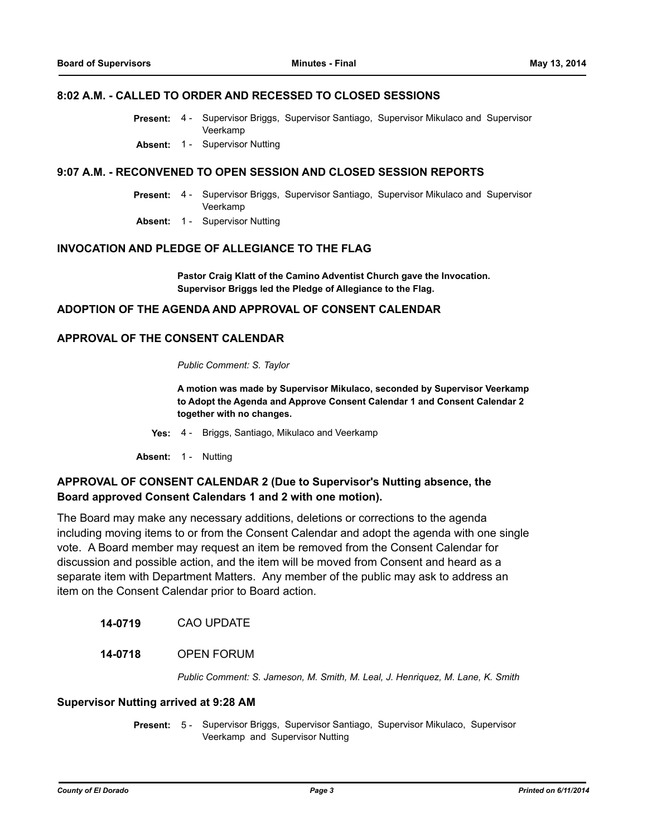### **8:02 A.M. - CALLED TO ORDER AND RECESSED TO CLOSED SESSIONS**

- Supervisor Briggs, Supervisor Santiago, Supervisor Mikulaco and Supervisor Veerkamp **Present:** 4 -
- **Absent:** 1 Supervisor Nutting

#### **9:07 A.M. - RECONVENED TO OPEN SESSION AND CLOSED SESSION REPORTS**

- Present: 4 Supervisor Briggs, Supervisor Santiago, Supervisor Mikulaco and Supervisor Veerkamp
- **Absent:** 1 Supervisor Nutting

#### **INVOCATION AND PLEDGE OF ALLEGIANCE TO THE FLAG**

**Pastor Craig Klatt of the Camino Adventist Church gave the Invocation. Supervisor Briggs led the Pledge of Allegiance to the Flag.**

### **ADOPTION OF THE AGENDA AND APPROVAL OF CONSENT CALENDAR**

#### **APPROVAL OF THE CONSENT CALENDAR**

*Public Comment: S. Taylor*

**A motion was made by Supervisor Mikulaco, seconded by Supervisor Veerkamp to Adopt the Agenda and Approve Consent Calendar 1 and Consent Calendar 2 together with no changes.**

**Yes:** 4 - Briggs, Santiago, Mikulaco and Veerkamp

**Absent:** 1 - Nutting

### **APPROVAL OF CONSENT CALENDAR 2 (Due to Supervisor's Nutting absence, the Board approved Consent Calendars 1 and 2 with one motion).**

The Board may make any necessary additions, deletions or corrections to the agenda including moving items to or from the Consent Calendar and adopt the agenda with one single vote. A Board member may request an item be removed from the Consent Calendar for discussion and possible action, and the item will be moved from Consent and heard as a separate item with Department Matters. Any member of the public may ask to address an item on the Consent Calendar prior to Board action.

**14-0719** CAO UPDATE

### **14-0718** OPEN FORUM

*Public Comment: S. Jameson, M. Smith, M. Leal, J. Henriquez, M. Lane, K. Smith*

#### **Supervisor Nutting arrived at 9:28 AM**

Present: 5 - Supervisor Briggs, Supervisor Santiago, Supervisor Mikulaco, Supervisor Veerkamp and Supervisor Nutting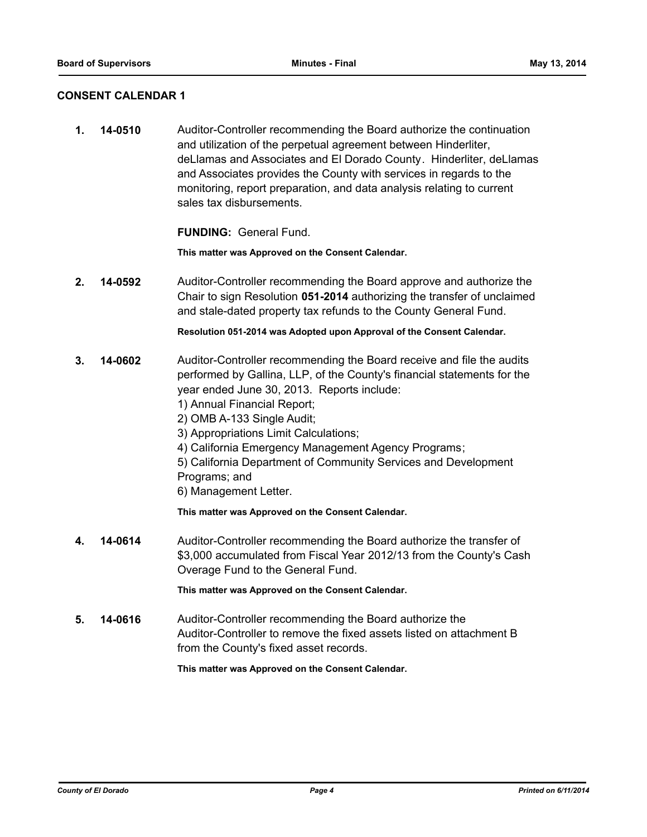### **CONSENT CALENDAR 1**

**1. 14-0510** Auditor-Controller recommending the Board authorize the continuation and utilization of the perpetual agreement between Hinderliter, deLlamas and Associates and El Dorado County. Hinderliter, deLlamas and Associates provides the County with services in regards to the monitoring, report preparation, and data analysis relating to current sales tax disbursements.

**FUNDING:** General Fund.

**This matter was Approved on the Consent Calendar.**

**2. 14-0592** Auditor-Controller recommending the Board approve and authorize the Chair to sign Resolution **051-2014** authorizing the transfer of unclaimed and stale-dated property tax refunds to the County General Fund.

**Resolution 051-2014 was Adopted upon Approval of the Consent Calendar.**

- **3. 14-0602** Auditor-Controller recommending the Board receive and file the audits performed by Gallina, LLP, of the County's financial statements for the year ended June 30, 2013. Reports include:
	- 1) Annual Financial Report;
	- 2) OMB A-133 Single Audit;
	- 3) Appropriations Limit Calculations;
	- 4) California Emergency Management Agency Programs;
	- 5) California Department of Community Services and Development Programs; and
	- 6) Management Letter.

**This matter was Approved on the Consent Calendar.**

**4. 14-0614** Auditor-Controller recommending the Board authorize the transfer of \$3,000 accumulated from Fiscal Year 2012/13 from the County's Cash Overage Fund to the General Fund.

**This matter was Approved on the Consent Calendar.**

**5. 14-0616** Auditor-Controller recommending the Board authorize the Auditor-Controller to remove the fixed assets listed on attachment B from the County's fixed asset records.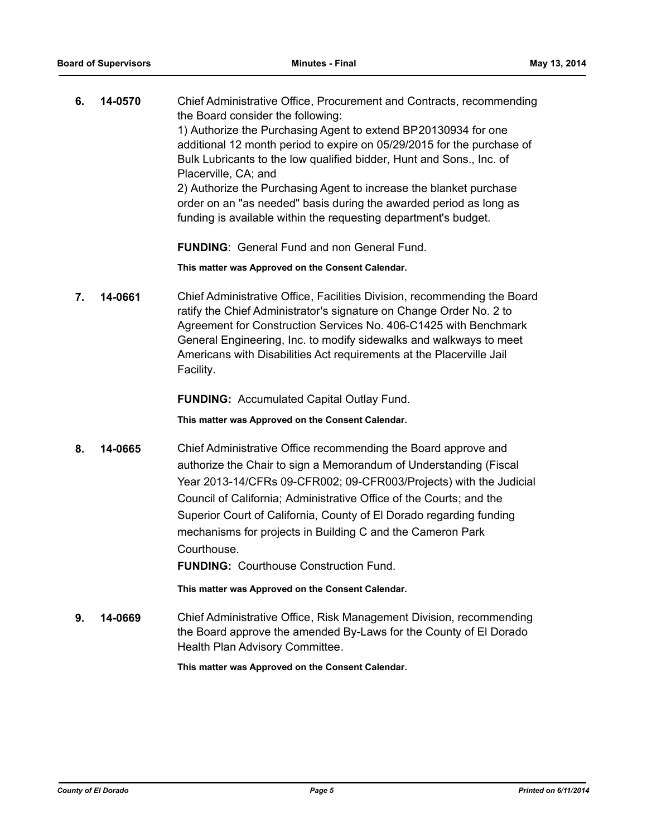| 6. | 14-0570 | Chief Administrative Office, Procurement and Contracts, recommending                                                                                                                                        |
|----|---------|-------------------------------------------------------------------------------------------------------------------------------------------------------------------------------------------------------------|
|    |         | the Board consider the following:                                                                                                                                                                           |
|    |         | 1) Authorize the Purchasing Agent to extend BP20130934 for one                                                                                                                                              |
|    |         | additional 12 month period to expire on 05/29/2015 for the purchase of                                                                                                                                      |
|    |         | Bulk Lubricants to the low qualified bidder, Hunt and Sons., Inc. of                                                                                                                                        |
|    |         | Placerville, CA; and                                                                                                                                                                                        |
|    |         | 2) Authorize the Purchasing Agent to increase the blanket purchase<br>order on an "as needed" basis during the awarded period as long as<br>funding is available within the requesting department's budget. |
|    |         |                                                                                                                                                                                                             |

**FUNDING**: General Fund and non General Fund.

**This matter was Approved on the Consent Calendar.**

**7. 14-0661** Chief Administrative Office, Facilities Division, recommending the Board ratify the Chief Administrator's signature on Change Order No. 2 to Agreement for Construction Services No. 406-C1425 with Benchmark General Engineering, Inc. to modify sidewalks and walkways to meet Americans with Disabilities Act requirements at the Placerville Jail Facility.

**FUNDING:** Accumulated Capital Outlay Fund.

**This matter was Approved on the Consent Calendar.**

**8. 14-0665** Chief Administrative Office recommending the Board approve and authorize the Chair to sign a Memorandum of Understanding (Fiscal Year 2013-14/CFRs 09-CFR002; 09-CFR003/Projects) with the Judicial Council of California; Administrative Office of the Courts; and the Superior Court of California, County of El Dorado regarding funding mechanisms for projects in Building C and the Cameron Park Courthouse.

**FUNDING:** Courthouse Construction Fund.

**This matter was Approved on the Consent Calendar.**

**9. 14-0669** Chief Administrative Office, Risk Management Division, recommending the Board approve the amended By-Laws for the County of El Dorado Health Plan Advisory Committee.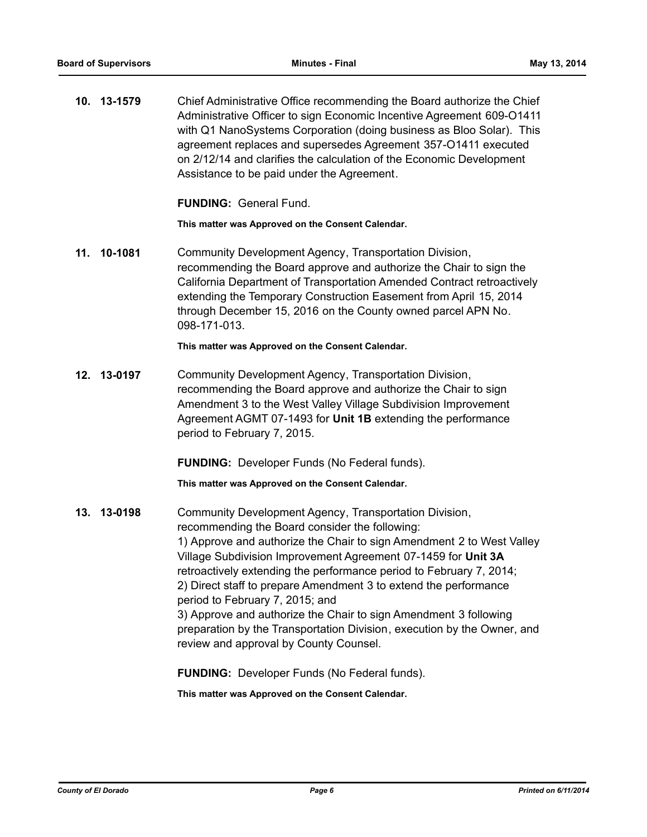|     | 10. 13-1579 | Chief Administrative Office recommending the Board authorize the Chief<br>Administrative Officer to sign Economic Incentive Agreement 609-O1411<br>with Q1 NanoSystems Corporation (doing business as Bloo Solar). This<br>agreement replaces and supersedes Agreement 357-O1411 executed<br>on 2/12/14 and clarifies the calculation of the Economic Development<br>Assistance to be paid under the Agreement.                                                                                                                                                                                                           |
|-----|-------------|---------------------------------------------------------------------------------------------------------------------------------------------------------------------------------------------------------------------------------------------------------------------------------------------------------------------------------------------------------------------------------------------------------------------------------------------------------------------------------------------------------------------------------------------------------------------------------------------------------------------------|
|     |             | <b>FUNDING: General Fund.</b>                                                                                                                                                                                                                                                                                                                                                                                                                                                                                                                                                                                             |
|     |             | This matter was Approved on the Consent Calendar.                                                                                                                                                                                                                                                                                                                                                                                                                                                                                                                                                                         |
| 11. | 10-1081     | Community Development Agency, Transportation Division,<br>recommending the Board approve and authorize the Chair to sign the<br>California Department of Transportation Amended Contract retroactively<br>extending the Temporary Construction Easement from April 15, 2014<br>through December 15, 2016 on the County owned parcel APN No.<br>098-171-013.                                                                                                                                                                                                                                                               |
|     |             | This matter was Approved on the Consent Calendar.                                                                                                                                                                                                                                                                                                                                                                                                                                                                                                                                                                         |
|     | 12. 13-0197 | Community Development Agency, Transportation Division,<br>recommending the Board approve and authorize the Chair to sign<br>Amendment 3 to the West Valley Village Subdivision Improvement<br>Agreement AGMT 07-1493 for Unit 1B extending the performance<br>period to February 7, 2015.                                                                                                                                                                                                                                                                                                                                 |
|     |             | <b>FUNDING:</b> Developer Funds (No Federal funds).                                                                                                                                                                                                                                                                                                                                                                                                                                                                                                                                                                       |
|     |             | This matter was Approved on the Consent Calendar.                                                                                                                                                                                                                                                                                                                                                                                                                                                                                                                                                                         |
|     | 13. 13-0198 | Community Development Agency, Transportation Division,<br>recommending the Board consider the following:<br>1) Approve and authorize the Chair to sign Amendment 2 to West Valley<br>Village Subdivision Improvement Agreement 07-1459 for Unit 3A<br>retroactively extending the performance period to February 7, 2014;<br>2) Direct staff to prepare Amendment 3 to extend the performance<br>period to February 7, 2015; and<br>3) Approve and authorize the Chair to sign Amendment 3 following<br>preparation by the Transportation Division, execution by the Owner, and<br>review and approval by County Counsel. |
|     |             |                                                                                                                                                                                                                                                                                                                                                                                                                                                                                                                                                                                                                           |

**FUNDING:** Developer Funds (No Federal funds).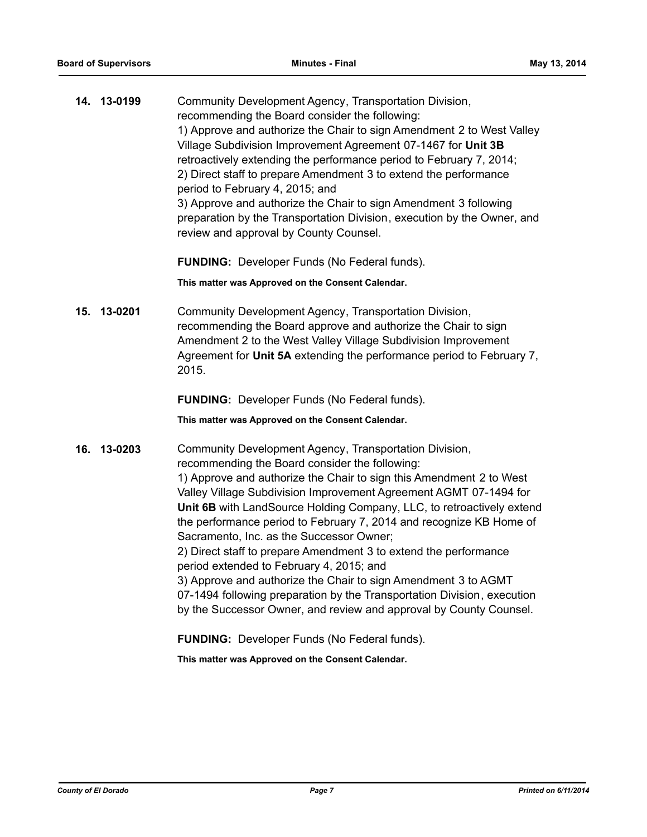| 14. 13-0199 | Community Development Agency, Transportation Division,<br>recommending the Board consider the following:                                                                                                                 |
|-------------|--------------------------------------------------------------------------------------------------------------------------------------------------------------------------------------------------------------------------|
|             | 1) Approve and authorize the Chair to sign Amendment 2 to West Valley<br>Village Subdivision Improvement Agreement 07-1467 for Unit 3B                                                                                   |
|             | retroactively extending the performance period to February 7, 2014;<br>2) Direct staff to prepare Amendment 3 to extend the performance                                                                                  |
|             | period to February 4, 2015; and<br>3) Approve and authorize the Chair to sign Amendment 3 following<br>preparation by the Transportation Division, execution by the Owner, and<br>review and approval by County Counsel. |

**FUNDING:** Developer Funds (No Federal funds).

**This matter was Approved on the Consent Calendar.**

**15. 13-0201** Community Development Agency, Transportation Division, recommending the Board approve and authorize the Chair to sign Amendment 2 to the West Valley Village Subdivision Improvement Agreement for **Unit 5A** extending the performance period to February 7, 2015.

**FUNDING:** Developer Funds (No Federal funds).

**This matter was Approved on the Consent Calendar.**

**16. 13-0203** Community Development Agency, Transportation Division, recommending the Board consider the following: 1) Approve and authorize the Chair to sign this Amendment 2 to West Valley Village Subdivision Improvement Agreement AGMT 07-1494 for **Unit 6B** with LandSource Holding Company, LLC, to retroactively extend the performance period to February 7, 2014 and recognize KB Home of Sacramento, Inc. as the Successor Owner; 2) Direct staff to prepare Amendment 3 to extend the performance period extended to February 4, 2015; and 3) Approve and authorize the Chair to sign Amendment 3 to AGMT 07-1494 following preparation by the Transportation Division, execution by the Successor Owner, and review and approval by County Counsel.

**FUNDING:** Developer Funds (No Federal funds).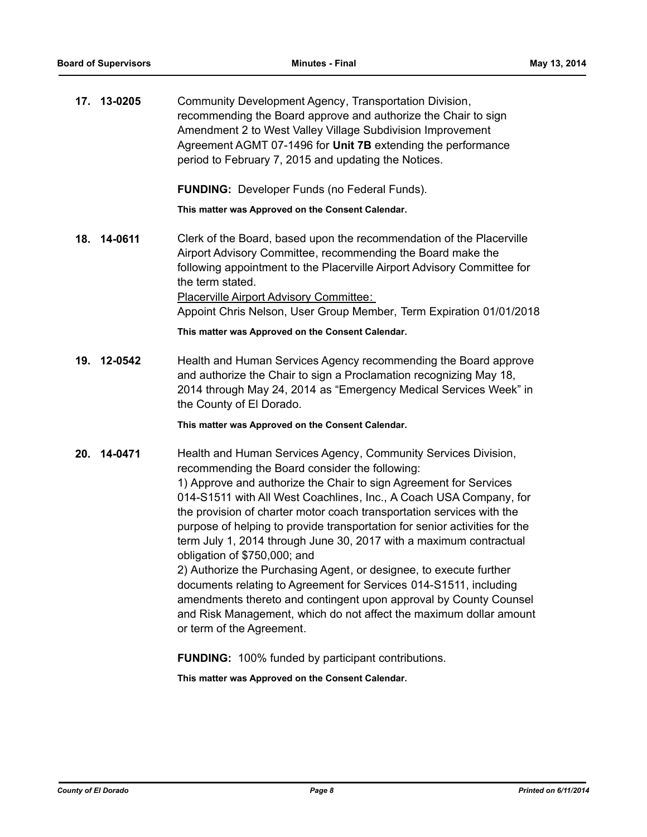|     | 17. 13-0205 | Community Development Agency, Transportation Division,<br>recommending the Board approve and authorize the Chair to sign<br>Amendment 2 to West Valley Village Subdivision Improvement<br>Agreement AGMT 07-1496 for Unit 7B extending the performance<br>period to February 7, 2015 and updating the Notices.                                                                                                                                                                                                                                                                                                                                                                                                                                                                                                                              |
|-----|-------------|---------------------------------------------------------------------------------------------------------------------------------------------------------------------------------------------------------------------------------------------------------------------------------------------------------------------------------------------------------------------------------------------------------------------------------------------------------------------------------------------------------------------------------------------------------------------------------------------------------------------------------------------------------------------------------------------------------------------------------------------------------------------------------------------------------------------------------------------|
|     |             | <b>FUNDING:</b> Developer Funds (no Federal Funds).                                                                                                                                                                                                                                                                                                                                                                                                                                                                                                                                                                                                                                                                                                                                                                                         |
|     |             | This matter was Approved on the Consent Calendar.                                                                                                                                                                                                                                                                                                                                                                                                                                                                                                                                                                                                                                                                                                                                                                                           |
| 18. | 14-0611     | Clerk of the Board, based upon the recommendation of the Placerville<br>Airport Advisory Committee, recommending the Board make the<br>following appointment to the Placerville Airport Advisory Committee for<br>the term stated.<br><b>Placerville Airport Advisory Committee:</b><br>Appoint Chris Nelson, User Group Member, Term Expiration 01/01/2018                                                                                                                                                                                                                                                                                                                                                                                                                                                                                 |
|     |             | This matter was Approved on the Consent Calendar.                                                                                                                                                                                                                                                                                                                                                                                                                                                                                                                                                                                                                                                                                                                                                                                           |
| 19. | 12-0542     | Health and Human Services Agency recommending the Board approve<br>and authorize the Chair to sign a Proclamation recognizing May 18,<br>2014 through May 24, 2014 as "Emergency Medical Services Week" in<br>the County of El Dorado.                                                                                                                                                                                                                                                                                                                                                                                                                                                                                                                                                                                                      |
|     |             | This matter was Approved on the Consent Calendar.                                                                                                                                                                                                                                                                                                                                                                                                                                                                                                                                                                                                                                                                                                                                                                                           |
| 20. | 14-0471     | Health and Human Services Agency, Community Services Division,<br>recommending the Board consider the following:<br>1) Approve and authorize the Chair to sign Agreement for Services<br>014-S1511 with All West Coachlines, Inc., A Coach USA Company, for<br>the provision of charter motor coach transportation services with the<br>purpose of helping to provide transportation for senior activities for the<br>term July 1, 2014 through June 30, 2017 with a maximum contractual<br>obligation of \$750,000; and<br>2) Authorize the Purchasing Agent, or designee, to execute further<br>documents relating to Agreement for Services 014-S1511, including<br>amendments thereto and contingent upon approval by County Counsel<br>and Risk Management, which do not affect the maximum dollar amount<br>or term of the Agreement. |

**FUNDING:** 100% funded by participant contributions.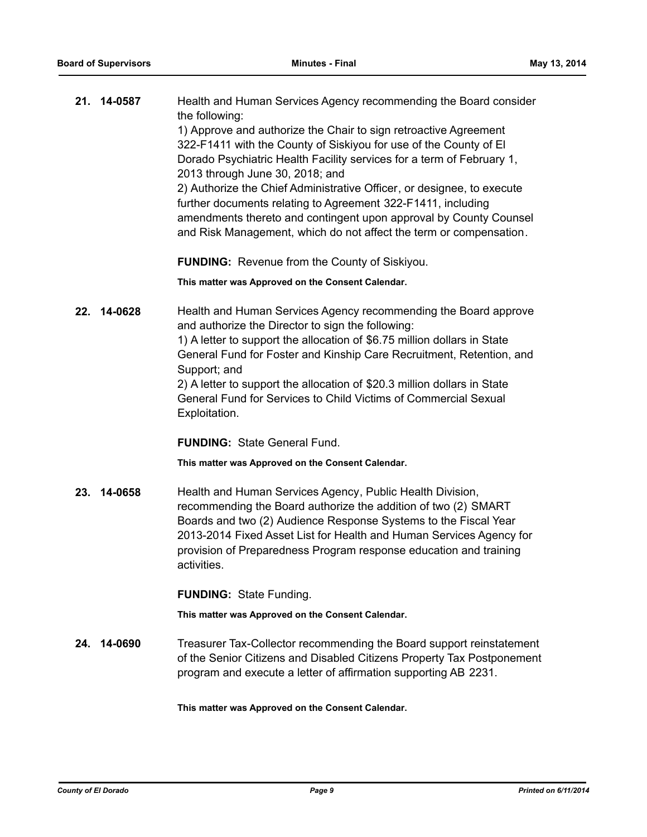|     | 21. 14-0587 | Health and Human Services Agency recommending the Board consider<br>the following:                                                |
|-----|-------------|-----------------------------------------------------------------------------------------------------------------------------------|
|     |             | 1) Approve and authorize the Chair to sign retroactive Agreement                                                                  |
|     |             | 322-F1411 with the County of Siskiyou for use of the County of El                                                                 |
|     |             | Dorado Psychiatric Health Facility services for a term of February 1,                                                             |
|     |             | 2013 through June 30, 2018; and                                                                                                   |
|     |             | 2) Authorize the Chief Administrative Officer, or designee, to execute                                                            |
|     |             | further documents relating to Agreement 322-F1411, including<br>amendments thereto and contingent upon approval by County Counsel |
|     |             | and Risk Management, which do not affect the term or compensation.                                                                |
|     |             |                                                                                                                                   |
|     |             | <b>FUNDING:</b> Revenue from the County of Siskiyou.                                                                              |
|     |             | This matter was Approved on the Consent Calendar.                                                                                 |
| 22. | 14-0628     | Health and Human Services Agency recommending the Board approve                                                                   |
|     |             | and authorize the Director to sign the following:<br>1) A letter to support the allocation of \$6.75 million dollars in State     |
|     |             | General Fund for Foster and Kinship Care Recruitment, Retention, and                                                              |
|     |             | Support; and                                                                                                                      |
|     |             | 2) A letter to support the allocation of \$20.3 million dollars in State                                                          |
|     |             | General Fund for Services to Child Victims of Commercial Sexual                                                                   |
|     |             | Exploitation.                                                                                                                     |
|     |             | <b>FUNDING: State General Fund.</b>                                                                                               |
|     |             |                                                                                                                                   |
|     |             | This matter was Approved on the Consent Calendar.                                                                                 |
| 23. | 14-0658     | Health and Human Services Agency, Public Health Division,                                                                         |
|     |             | recommending the Board authorize the addition of two (2) SMART                                                                    |
|     |             | Boards and two (2) Audience Response Systems to the Fiscal Year                                                                   |
|     |             | 2013-2014 Fixed Asset List for Health and Human Services Agency for                                                               |
|     |             | provision of Preparedness Program response education and training                                                                 |
|     |             | activities.                                                                                                                       |
|     |             | <b>FUNDING: State Funding.</b>                                                                                                    |
|     |             | This matter was Approved on the Consent Calendar.                                                                                 |
|     | 24. 14-0690 | Treasurer Tax-Collector recommending the Board support reinstatement                                                              |
|     |             | of the Senior Citizens and Disabled Citizens Property Tax Postponement                                                            |
|     |             | program and execute a letter of affirmation supporting AB 2231.                                                                   |
|     |             | This matter was Approved on the Consent Calendar.                                                                                 |
|     |             |                                                                                                                                   |
|     |             |                                                                                                                                   |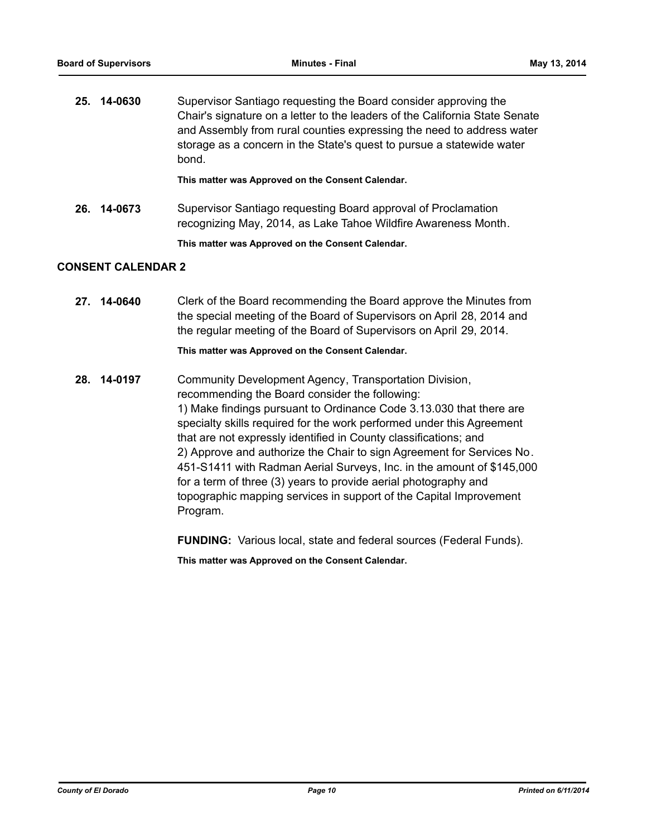| 25. 14-0630 | Supervisor Santiago requesting the Board consider approving the<br>Chair's signature on a letter to the leaders of the California State Senate<br>and Assembly from rural counties expressing the need to address water<br>storage as a concern in the State's quest to pursue a statewide water<br>bond. |
|-------------|-----------------------------------------------------------------------------------------------------------------------------------------------------------------------------------------------------------------------------------------------------------------------------------------------------------|
|             | This matter was Approved on the Consent Calendar.                                                                                                                                                                                                                                                         |

**26. 14-0673** Supervisor Santiago requesting Board approval of Proclamation recognizing May, 2014, as Lake Tahoe Wildfire Awareness Month.

**This matter was Approved on the Consent Calendar.**

### **CONSENT CALENDAR 2**

**27. 14-0640** Clerk of the Board recommending the Board approve the Minutes from the special meeting of the Board of Supervisors on April 28, 2014 and the regular meeting of the Board of Supervisors on April 29, 2014.

#### **This matter was Approved on the Consent Calendar.**

**28. 14-0197** Community Development Agency, Transportation Division, recommending the Board consider the following: 1) Make findings pursuant to Ordinance Code 3.13.030 that there are specialty skills required for the work performed under this Agreement that are not expressly identified in County classifications; and 2) Approve and authorize the Chair to sign Agreement for Services No. 451-S1411 with Radman Aerial Surveys, Inc. in the amount of \$145,000 for a term of three (3) years to provide aerial photography and topographic mapping services in support of the Capital Improvement Program.

**FUNDING:** Various local, state and federal sources (Federal Funds).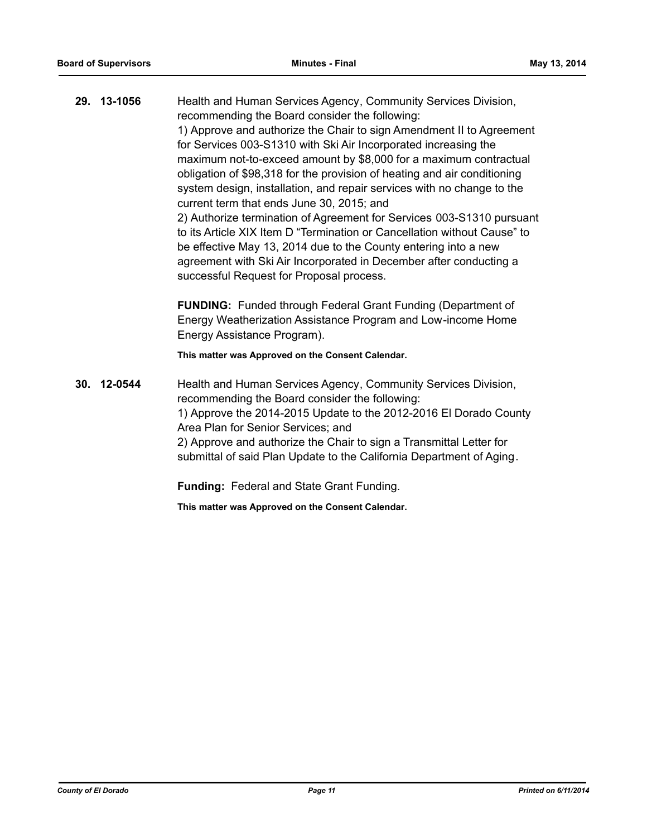**29. 13-1056** Health and Human Services Agency, Community Services Division, recommending the Board consider the following: 1) Approve and authorize the Chair to sign Amendment II to Agreement for Services 003-S1310 with Ski Air Incorporated increasing the maximum not-to-exceed amount by \$8,000 for a maximum contractual obligation of \$98,318 for the provision of heating and air conditioning system design, installation, and repair services with no change to the current term that ends June 30, 2015; and 2) Authorize termination of Agreement for Services 003-S1310 pursuant to its Article XIX Item D "Termination or Cancellation without Cause" to be effective May 13, 2014 due to the County entering into a new agreement with Ski Air Incorporated in December after conducting a successful Request for Proposal process. **FUNDING:** Funded through Federal Grant Funding (Department of Energy Weatherization Assistance Program and Low-income Home Energy Assistance Program).

**This matter was Approved on the Consent Calendar.**

**30. 12-0544** Health and Human Services Agency, Community Services Division, recommending the Board consider the following: 1) Approve the 2014-2015 Update to the 2012-2016 El Dorado County Area Plan for Senior Services; and 2) Approve and authorize the Chair to sign a Transmittal Letter for submittal of said Plan Update to the California Department of Aging.

**Funding:** Federal and State Grant Funding.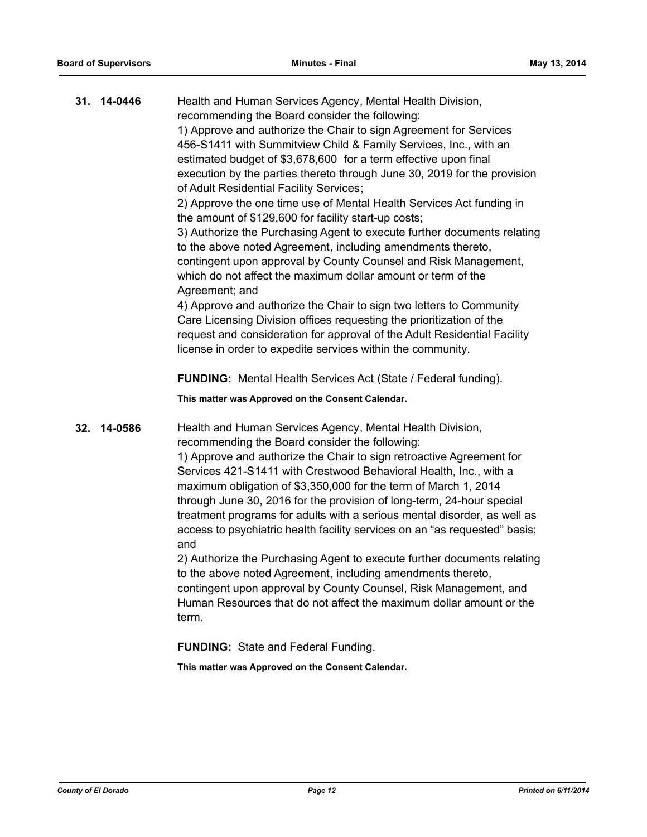| 31. | 14-0446 | Health and Human Services Agency, Mental Health Division,<br>recommending the Board consider the following:<br>1) Approve and authorize the Chair to sign Agreement for Services<br>456-S1411 with Summitview Child & Family Services, Inc., with an<br>estimated budget of \$3,678,600 for a term effective upon final<br>execution by the parties thereto through June 30, 2019 for the provision<br>of Adult Residential Facility Services;<br>2) Approve the one time use of Mental Health Services Act funding in<br>the amount of \$129,600 for facility start-up costs;<br>3) Authorize the Purchasing Agent to execute further documents relating<br>to the above noted Agreement, including amendments thereto,<br>contingent upon approval by County Counsel and Risk Management,<br>which do not affect the maximum dollar amount or term of the<br>Agreement; and<br>4) Approve and authorize the Chair to sign two letters to Community<br>Care Licensing Division offices requesting the prioritization of the<br>request and consideration for approval of the Adult Residential Facility<br>license in order to expedite services within the community. |
|-----|---------|-------------------------------------------------------------------------------------------------------------------------------------------------------------------------------------------------------------------------------------------------------------------------------------------------------------------------------------------------------------------------------------------------------------------------------------------------------------------------------------------------------------------------------------------------------------------------------------------------------------------------------------------------------------------------------------------------------------------------------------------------------------------------------------------------------------------------------------------------------------------------------------------------------------------------------------------------------------------------------------------------------------------------------------------------------------------------------------------------------------------------------------------------------------------------|
|     |         | FUNDING: Mental Health Services Act (State / Federal funding).<br>This matter was Approved on the Consent Calendar.                                                                                                                                                                                                                                                                                                                                                                                                                                                                                                                                                                                                                                                                                                                                                                                                                                                                                                                                                                                                                                                     |
| 32. | 14-0586 | Health and Human Services Agency, Mental Health Division,<br>recommending the Board consider the following:<br>1) Approve and authorize the Chair to sign retroactive Agreement for<br>Services 421-S1411 with Crestwood Behavioral Health, Inc., with a<br>maximum obligation of \$3,350,000 for the term of March 1, 2014<br>through June 30, 2016 for the provision of long-term, 24-hour special<br>treatment programs for adults with a serious mental disorder, as well as<br>access to psychiatric health facility services on an "as requested" basis;<br>and<br>2) Authorize the Purchasing Agent to execute further documents relating<br>to the above noted Agreement, including amendments thereto,<br>contingent upon approval by County Counsel, Risk Management, and<br>Human Resources that do not affect the maximum dollar amount or the<br>term.                                                                                                                                                                                                                                                                                                     |

**FUNDING:** State and Federal Funding.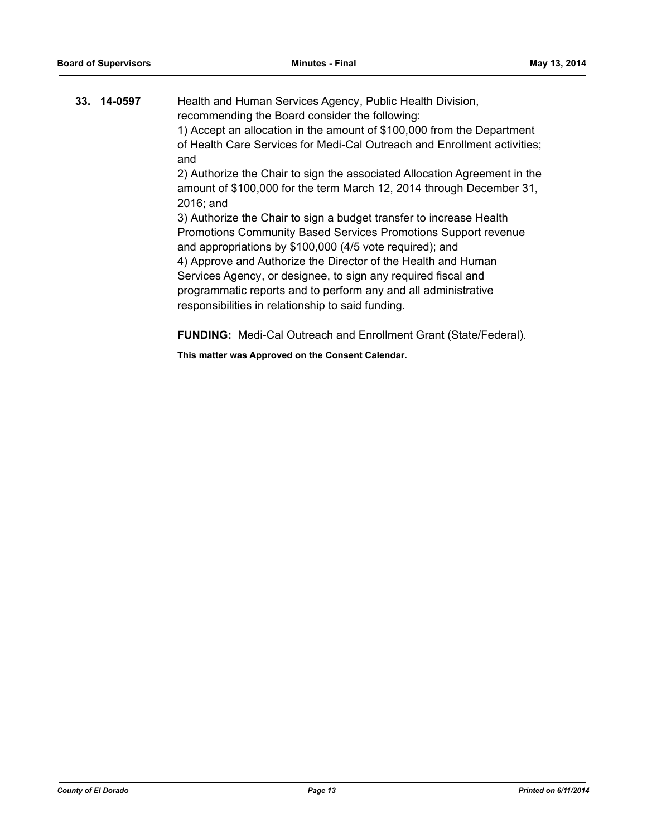| 33. 14-0597 | Health and Human Services Agency, Public Health Division,<br>recommending the Board consider the following:                                                                                                                                                                                                                                                                                                                                                |
|-------------|------------------------------------------------------------------------------------------------------------------------------------------------------------------------------------------------------------------------------------------------------------------------------------------------------------------------------------------------------------------------------------------------------------------------------------------------------------|
|             | 1) Accept an allocation in the amount of \$100,000 from the Department<br>of Health Care Services for Medi-Cal Outreach and Enrollment activities;<br>and                                                                                                                                                                                                                                                                                                  |
|             | 2) Authorize the Chair to sign the associated Allocation Agreement in the<br>amount of \$100,000 for the term March 12, 2014 through December 31,<br>2016; and                                                                                                                                                                                                                                                                                             |
|             | 3) Authorize the Chair to sign a budget transfer to increase Health<br>Promotions Community Based Services Promotions Support revenue<br>and appropriations by \$100,000 (4/5 vote required); and<br>4) Approve and Authorize the Director of the Health and Human<br>Services Agency, or designee, to sign any required fiscal and<br>programmatic reports and to perform any and all administrative<br>responsibilities in relationship to said funding. |
|             | FUNDING: Medi-Cal Outreach and Enrollment Grant (State/Federal).                                                                                                                                                                                                                                                                                                                                                                                           |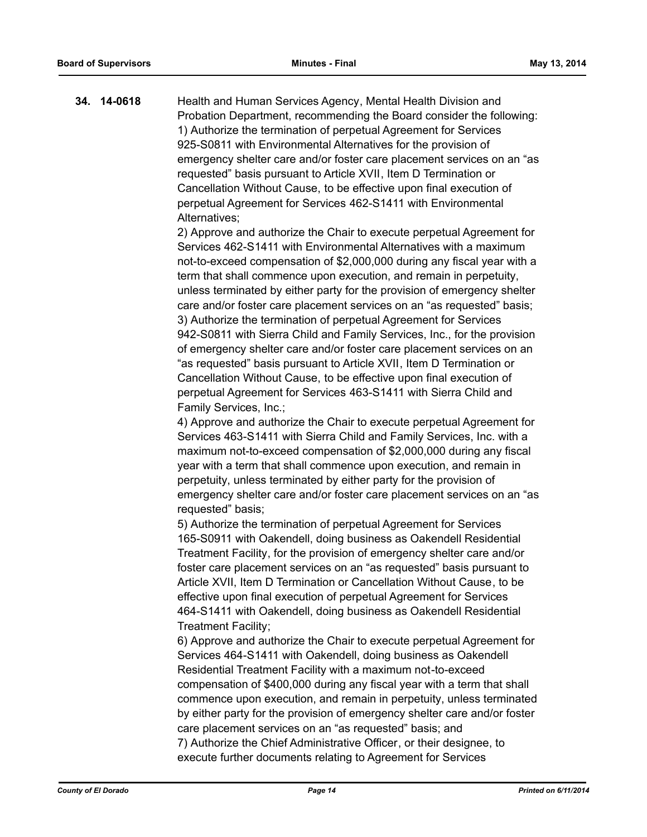**34. 14-0618** Health and Human Services Agency, Mental Health Division and Probation Department, recommending the Board consider the following: 1) Authorize the termination of perpetual Agreement for Services 925-S0811 with Environmental Alternatives for the provision of emergency shelter care and/or foster care placement services on an "as requested" basis pursuant to Article XVII, Item D Termination or Cancellation Without Cause, to be effective upon final execution of perpetual Agreement for Services 462-S1411 with Environmental Alternatives;

2) Approve and authorize the Chair to execute perpetual Agreement for Services 462-S1411 with Environmental Alternatives with a maximum not-to-exceed compensation of \$2,000,000 during any fiscal year with a term that shall commence upon execution, and remain in perpetuity, unless terminated by either party for the provision of emergency shelter care and/or foster care placement services on an "as requested" basis; 3) Authorize the termination of perpetual Agreement for Services 942-S0811 with Sierra Child and Family Services, Inc., for the provision of emergency shelter care and/or foster care placement services on an "as requested" basis pursuant to Article XVII, Item D Termination or Cancellation Without Cause, to be effective upon final execution of perpetual Agreement for Services 463-S1411 with Sierra Child and Family Services, Inc.;

4) Approve and authorize the Chair to execute perpetual Agreement for Services 463-S1411 with Sierra Child and Family Services, Inc. with a maximum not-to-exceed compensation of \$2,000,000 during any fiscal year with a term that shall commence upon execution, and remain in perpetuity, unless terminated by either party for the provision of emergency shelter care and/or foster care placement services on an "as requested" basis;

5) Authorize the termination of perpetual Agreement for Services 165-S0911 with Oakendell, doing business as Oakendell Residential Treatment Facility, for the provision of emergency shelter care and/or foster care placement services on an "as requested" basis pursuant to Article XVII, Item D Termination or Cancellation Without Cause, to be effective upon final execution of perpetual Agreement for Services 464-S1411 with Oakendell, doing business as Oakendell Residential Treatment Facility;

6) Approve and authorize the Chair to execute perpetual Agreement for Services 464-S1411 with Oakendell, doing business as Oakendell Residential Treatment Facility with a maximum not-to-exceed compensation of \$400,000 during any fiscal year with a term that shall commence upon execution, and remain in perpetuity, unless terminated by either party for the provision of emergency shelter care and/or foster care placement services on an "as requested" basis; and 7) Authorize the Chief Administrative Officer, or their designee, to execute further documents relating to Agreement for Services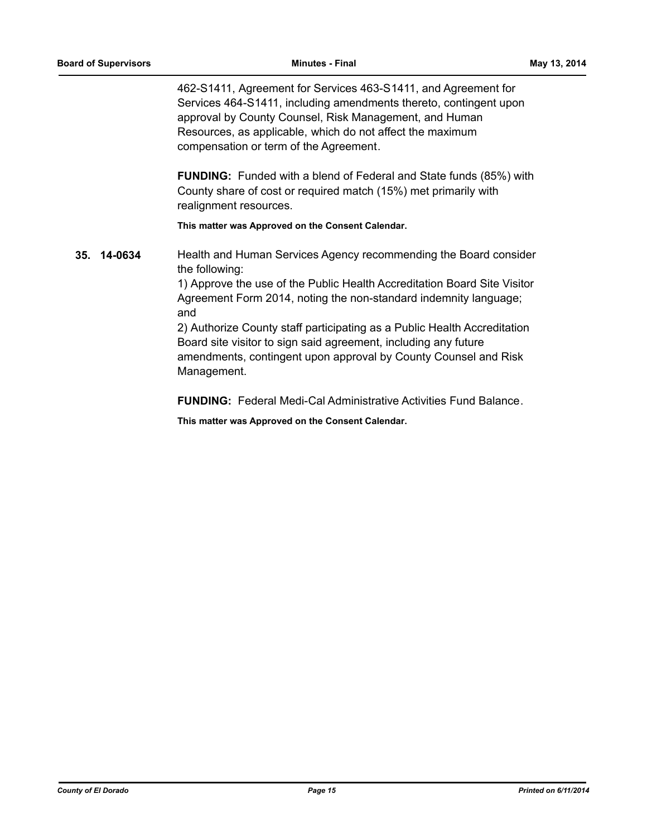462-S1411, Agreement for Services 463-S1411, and Agreement for Services 464-S1411, including amendments thereto, contingent upon approval by County Counsel, Risk Management, and Human Resources, as applicable, which do not affect the maximum compensation or term of the Agreement.

**FUNDING:** Funded with a blend of Federal and State funds (85%) with County share of cost or required match (15%) met primarily with realignment resources.

**This matter was Approved on the Consent Calendar.**

**35. 14-0634** Health and Human Services Agency recommending the Board consider the following:

> 1) Approve the use of the Public Health Accreditation Board Site Visitor Agreement Form 2014, noting the non-standard indemnity language; and

2) Authorize County staff participating as a Public Health Accreditation Board site visitor to sign said agreement, including any future amendments, contingent upon approval by County Counsel and Risk Management.

**FUNDING:** Federal Medi-Cal Administrative Activities Fund Balance.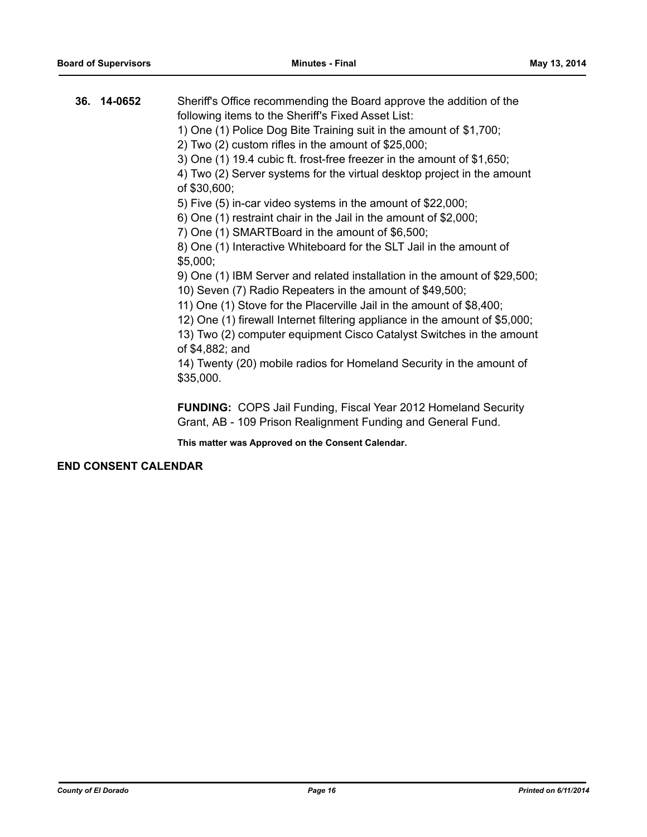| 36. 14-0652 | Sheriff's Office recommending the Board approve the addition of the<br>following items to the Sheriff's Fixed Asset List:<br>1) One (1) Police Dog Bite Training suit in the amount of \$1,700;<br>2) Two $(2)$ custom rifles in the amount of \$25,000;<br>3) One (1) 19.4 cubic ft. frost-free freezer in the amount of \$1,650;<br>4) Two (2) Server systems for the virtual desktop project in the amount<br>of \$30,600;<br>5) Five (5) in-car video systems in the amount of \$22,000;<br>6) One (1) restraint chair in the Jail in the amount of \$2,000;<br>7) One (1) SMARTBoard in the amount of \$6,500;<br>8) One (1) Interactive Whiteboard for the SLT Jail in the amount of<br>\$5,000;<br>9) One (1) IBM Server and related installation in the amount of \$29,500;<br>10) Seven (7) Radio Repeaters in the amount of \$49,500;<br>11) One (1) Stove for the Placerville Jail in the amount of \$8,400;<br>12) One (1) firewall Internet filtering appliance in the amount of \$5,000;<br>13) Two (2) computer equipment Cisco Catalyst Switches in the amount |
|-------------|--------------------------------------------------------------------------------------------------------------------------------------------------------------------------------------------------------------------------------------------------------------------------------------------------------------------------------------------------------------------------------------------------------------------------------------------------------------------------------------------------------------------------------------------------------------------------------------------------------------------------------------------------------------------------------------------------------------------------------------------------------------------------------------------------------------------------------------------------------------------------------------------------------------------------------------------------------------------------------------------------------------------------------------------------------------------------------|
|             | of \$4,882; and<br>14) Twenty (20) mobile radios for Homeland Security in the amount of<br>\$35,000.                                                                                                                                                                                                                                                                                                                                                                                                                                                                                                                                                                                                                                                                                                                                                                                                                                                                                                                                                                           |
|             | <b>FUNDING:</b> COPS Jail Funding, Fiscal Year 2012 Homeland Security                                                                                                                                                                                                                                                                                                                                                                                                                                                                                                                                                                                                                                                                                                                                                                                                                                                                                                                                                                                                          |

Grant, AB - 109 Prison Realignment Funding and General Fund.

**This matter was Approved on the Consent Calendar.**

### **END CONSENT CALENDAR**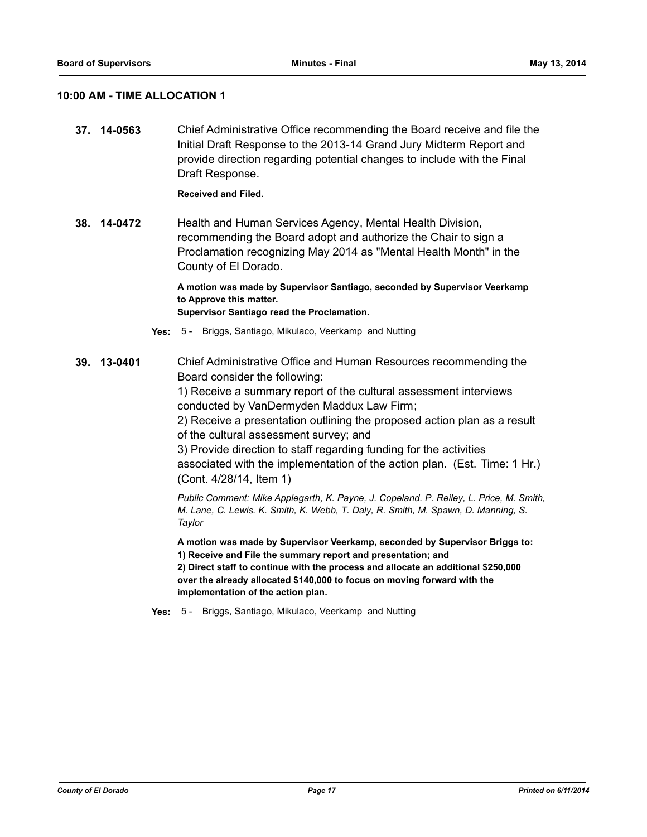### **10:00 AM - TIME ALLOCATION 1**

**37. 14-0563** Chief Administrative Office recommending the Board receive and file the Initial Draft Response to the 2013-14 Grand Jury Midterm Report and provide direction regarding potential changes to include with the Final Draft Response.

#### **Received and Filed.**

**38. 14-0472** Health and Human Services Agency, Mental Health Division, recommending the Board adopt and authorize the Chair to sign a Proclamation recognizing May 2014 as "Mental Health Month" in the County of El Dorado.

> **A motion was made by Supervisor Santiago, seconded by Supervisor Veerkamp to Approve this matter.**

**Supervisor Santiago read the Proclamation.**

- **Yes:** 5 Briggs, Santiago, Mikulaco, Veerkamp and Nutting
- **39. 13-0401** Chief Administrative Office and Human Resources recommending the Board consider the following:

1) Receive a summary report of the cultural assessment interviews conducted by VanDermyden Maddux Law Firm;

2) Receive a presentation outlining the proposed action plan as a result of the cultural assessment survey; and

3) Provide direction to staff regarding funding for the activities associated with the implementation of the action plan. (Est. Time: 1 Hr.) (Cont. 4/28/14, Item 1)

*Public Comment: Mike Applegarth, K. Payne, J. Copeland. P. Reiley, L. Price, M. Smith, M. Lane, C. Lewis. K. Smith, K. Webb, T. Daly, R. Smith, M. Spawn, D. Manning, S. Taylor*

**A motion was made by Supervisor Veerkamp, seconded by Supervisor Briggs to: 1) Receive and File the summary report and presentation; and**

**2) Direct staff to continue with the process and allocate an additional \$250,000 over the already allocated \$140,000 to focus on moving forward with the implementation of the action plan.**

**Yes:** 5 - Briggs, Santiago, Mikulaco, Veerkamp and Nutting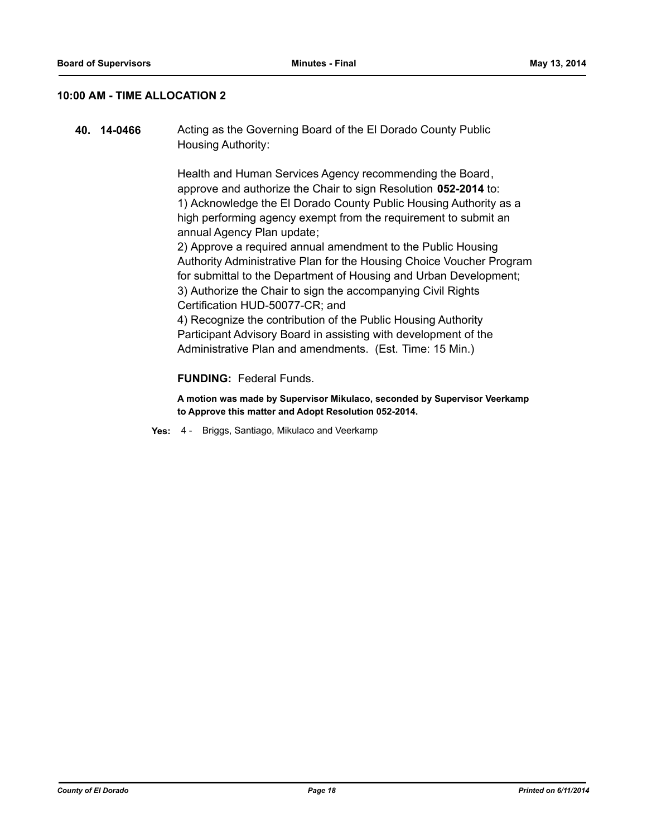### **10:00 AM - TIME ALLOCATION 2**

**40. 14-0466** Acting as the Governing Board of the El Dorado County Public Housing Authority:

> Health and Human Services Agency recommending the Board, approve and authorize the Chair to sign Resolution **052-2014** to: 1) Acknowledge the El Dorado County Public Housing Authority as a high performing agency exempt from the requirement to submit an annual Agency Plan update;

2) Approve a required annual amendment to the Public Housing Authority Administrative Plan for the Housing Choice Voucher Program for submittal to the Department of Housing and Urban Development; 3) Authorize the Chair to sign the accompanying Civil Rights Certification HUD-50077-CR; and

4) Recognize the contribution of the Public Housing Authority Participant Advisory Board in assisting with development of the Administrative Plan and amendments. (Est. Time: 15 Min.)

### **FUNDING:** Federal Funds.

**A motion was made by Supervisor Mikulaco, seconded by Supervisor Veerkamp to Approve this matter and Adopt Resolution 052-2014.**

**Yes:** 4 - Briggs, Santiago, Mikulaco and Veerkamp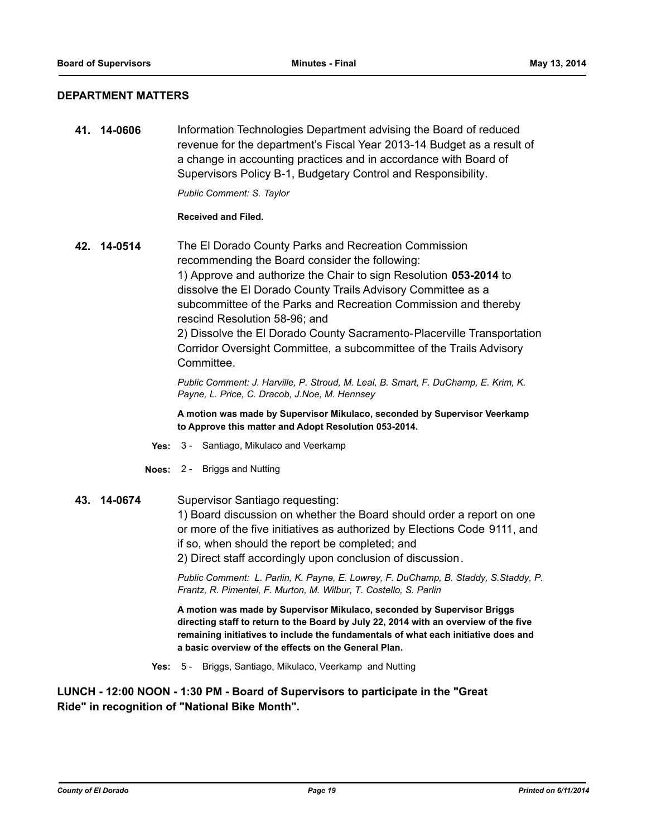### **DEPARTMENT MATTERS**

**41. 14-0606** Information Technologies Department advising the Board of reduced revenue for the department's Fiscal Year 2013-14 Budget as a result of a change in accounting practices and in accordance with Board of Supervisors Policy B-1, Budgetary Control and Responsibility.

*Public Comment: S. Taylor*

#### **Received and Filed.**

**42. 14-0514** The El Dorado County Parks and Recreation Commission recommending the Board consider the following: 1) Approve and authorize the Chair to sign Resolution **053-2014** to dissolve the El Dorado County Trails Advisory Committee as a subcommittee of the Parks and Recreation Commission and thereby rescind Resolution 58-96; and 2) Dissolve the El Dorado County Sacramento-Placerville Transportation Corridor Oversight Committee, a subcommittee of the Trails Advisory Committee.

> *Public Comment: J. Harville, P. Stroud, M. Leal, B. Smart, F. DuChamp, E. Krim, K. Payne, L. Price, C. Dracob, J.Noe, M. Hennsey*

**A motion was made by Supervisor Mikulaco, seconded by Supervisor Veerkamp to Approve this matter and Adopt Resolution 053-2014.**

- **Yes:** 3 Santiago, Mikulaco and Veerkamp
- **Noes:** 2 Briggs and Nutting
- **43. 14-0674** Supervisor Santiago requesting:

1) Board discussion on whether the Board should order a report on one or more of the five initiatives as authorized by Elections Code 9111, and if so, when should the report be completed; and

2) Direct staff accordingly upon conclusion of discussion.

*Public Comment: L. Parlin, K. Payne, E. Lowrey, F. DuChamp, B. Staddy, S.Staddy, P. Frantz, R. Pimentel, F. Murton, M. Wilbur, T. Costello, S. Parlin*

**A motion was made by Supervisor Mikulaco, seconded by Supervisor Briggs directing staff to return to the Board by July 22, 2014 with an overview of the five remaining initiatives to include the fundamentals of what each initiative does and a basic overview of the effects on the General Plan.**

**Yes:** 5 - Briggs, Santiago, Mikulaco, Veerkamp and Nutting

**LUNCH - 12:00 NOON - 1:30 PM - Board of Supervisors to participate in the "Great Ride" in recognition of "National Bike Month".**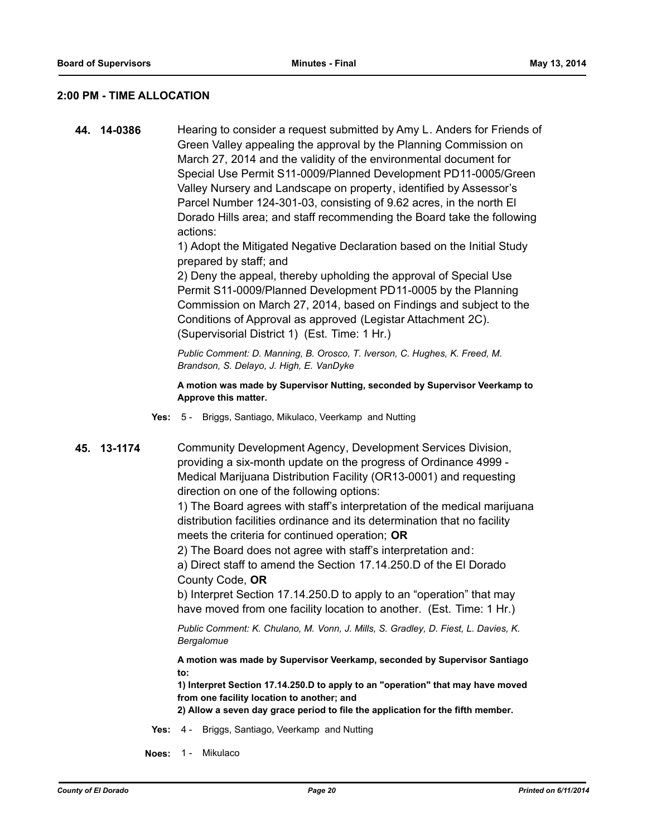### **2:00 PM - TIME ALLOCATION**

**44. 14-0386** Hearing to consider a request submitted by Amy L. Anders for Friends of Green Valley appealing the approval by the Planning Commission on March 27, 2014 and the validity of the environmental document for Special Use Permit S11-0009/Planned Development PD11-0005/Green Valley Nursery and Landscape on property, identified by Assessor's Parcel Number 124-301-03, consisting of 9.62 acres, in the north El Dorado Hills area; and staff recommending the Board take the following actions:

> 1) Adopt the Mitigated Negative Declaration based on the Initial Study prepared by staff; and

> 2) Deny the appeal, thereby upholding the approval of Special Use Permit S11-0009/Planned Development PD11-0005 by the Planning Commission on March 27, 2014, based on Findings and subject to the Conditions of Approval as approved (Legistar Attachment 2C). (Supervisorial District 1) (Est. Time: 1 Hr.)

*Public Comment: D. Manning, B. Orosco, T. Iverson, C. Hughes, K. Freed, M. Brandson, S. Delayo, J. High, E. VanDyke*

**A motion was made by Supervisor Nutting, seconded by Supervisor Veerkamp to Approve this matter.**

- **Yes:** 5 Briggs, Santiago, Mikulaco, Veerkamp and Nutting
- **45. 13-1174** Community Development Agency, Development Services Division, providing a six-month update on the progress of Ordinance 4999 - Medical Marijuana Distribution Facility (OR13-0001) and requesting direction on one of the following options:

1) The Board agrees with staff's interpretation of the medical marijuana distribution facilities ordinance and its determination that no facility meets the criteria for continued operation; **OR**

2) The Board does not agree with staff's interpretation and:

a) Direct staff to amend the Section 17.14.250.D of the El Dorado County Code, **OR**

b) Interpret Section 17.14.250.D to apply to an "operation" that may have moved from one facility location to another. (Est. Time: 1 Hr.)

*Public Comment: K. Chulano, M. Vonn, J. Mills, S. Gradley, D. Fiest, L. Davies, K. Bergalomue*

**A motion was made by Supervisor Veerkamp, seconded by Supervisor Santiago to:**

**1) Interpret Section 17.14.250.D to apply to an "operation" that may have moved from one facility location to another; and**

**2) Allow a seven day grace period to file the application for the fifth member.**

**Yes:** 4 - Briggs, Santiago, Veerkamp and Nutting

**Noes:** 1 - Mikulaco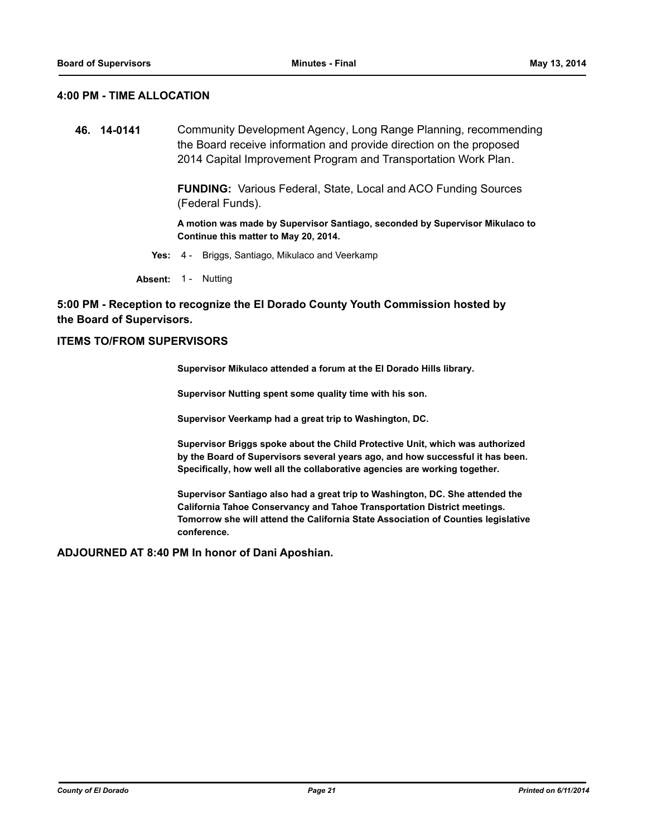### **4:00 PM - TIME ALLOCATION**

**46. 14-0141** Community Development Agency, Long Range Planning, recommending the Board receive information and provide direction on the proposed 2014 Capital Improvement Program and Transportation Work Plan.

> **FUNDING:** Various Federal, State, Local and ACO Funding Sources (Federal Funds).

**A motion was made by Supervisor Santiago, seconded by Supervisor Mikulaco to Continue this matter to May 20, 2014.**

**Yes:** 4 - Briggs, Santiago, Mikulaco and Veerkamp

**Absent:** 1 - Nutting

### **5:00 PM - Reception to recognize the El Dorado County Youth Commission hosted by the Board of Supervisors.**

#### **ITEMS TO/FROM SUPERVISORS**

**Supervisor Mikulaco attended a forum at the El Dorado Hills library.** 

**Supervisor Nutting spent some quality time with his son.** 

**Supervisor Veerkamp had a great trip to Washington, DC.** 

**Supervisor Briggs spoke about the Child Protective Unit, which was authorized by the Board of Supervisors several years ago, and how successful it has been. Specifically, how well all the collaborative agencies are working together.** 

**Supervisor Santiago also had a great trip to Washington, DC. She attended the California Tahoe Conservancy and Tahoe Transportation District meetings. Tomorrow she will attend the California State Association of Counties legislative conference.**

**ADJOURNED AT 8:40 PM In honor of Dani Aposhian.**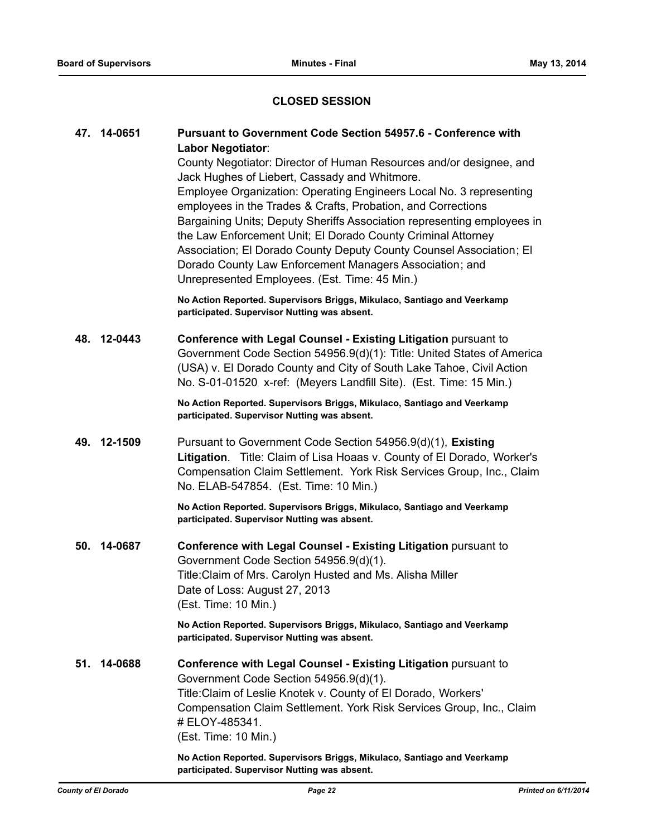### **CLOSED SESSION**

### **47. 14-0651 Pursuant to Government Code Section 54957.6 - Conference with Labor Negotiator**: County Negotiator: Director of Human Resources and/or designee, and

Jack Hughes of Liebert, Cassady and Whitmore. Employee Organization: Operating Engineers Local No. 3 representing employees in the Trades & Crafts, Probation, and Corrections Bargaining Units; Deputy Sheriffs Association representing employees in the Law Enforcement Unit; El Dorado County Criminal Attorney Association; El Dorado County Deputy County Counsel Association; El Dorado County Law Enforcement Managers Association; and Unrepresented Employees. (Est. Time: 45 Min.)

**No Action Reported. Supervisors Briggs, Mikulaco, Santiago and Veerkamp participated. Supervisor Nutting was absent.**

**48. 12-0443 Conference with Legal Counsel - Existing Litigation** pursuant to Government Code Section 54956.9(d)(1): Title: United States of America (USA) v. El Dorado County and City of South Lake Tahoe, Civil Action No. S-01-01520 x-ref: (Meyers Landfill Site). (Est. Time: 15 Min.)

> **No Action Reported. Supervisors Briggs, Mikulaco, Santiago and Veerkamp participated. Supervisor Nutting was absent.**

**49. 12-1509** Pursuant to Government Code Section 54956.9(d)(1), **Existing Litigation**. Title: Claim of Lisa Hoaas v. County of El Dorado, Worker's Compensation Claim Settlement. York Risk Services Group, Inc., Claim No. ELAB-547854. (Est. Time: 10 Min.)

> **No Action Reported. Supervisors Briggs, Mikulaco, Santiago and Veerkamp participated. Supervisor Nutting was absent.**

**50. 14-0687 Conference with Legal Counsel - Existing Litigation** pursuant to Government Code Section 54956.9(d)(1). Title:Claim of Mrs. Carolyn Husted and Ms. Alisha Miller Date of Loss: August 27, 2013 (Est. Time: 10 Min.)

> **No Action Reported. Supervisors Briggs, Mikulaco, Santiago and Veerkamp participated. Supervisor Nutting was absent.**

**51. 14-0688 Conference with Legal Counsel - Existing Litigation** pursuant to Government Code Section 54956.9(d)(1). Title:Claim of Leslie Knotek v. County of El Dorado, Workers' Compensation Claim Settlement. York Risk Services Group, Inc., Claim # ELOY-485341. (Est. Time: 10 Min.)

> **No Action Reported. Supervisors Briggs, Mikulaco, Santiago and Veerkamp participated. Supervisor Nutting was absent.**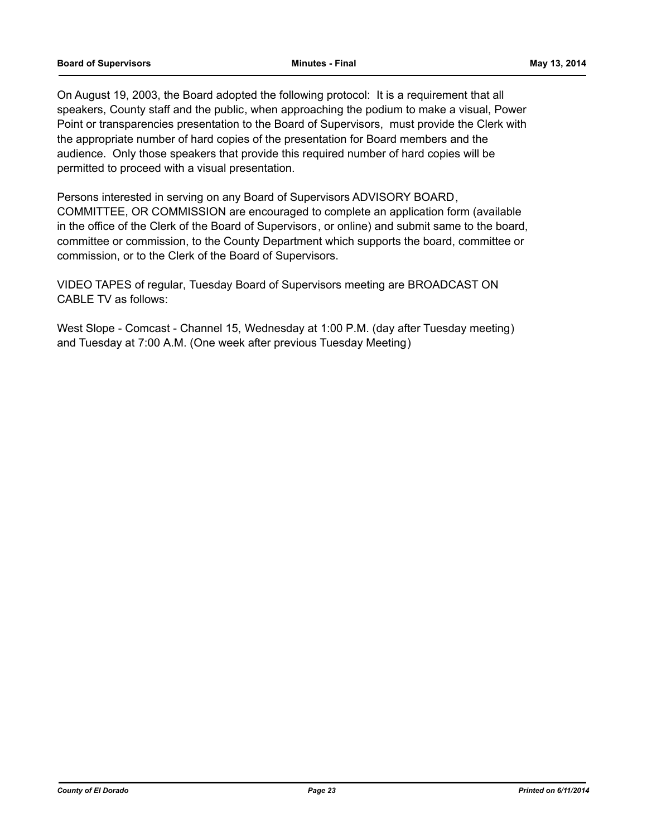On August 19, 2003, the Board adopted the following protocol: It is a requirement that all speakers, County staff and the public, when approaching the podium to make a visual, Power Point or transparencies presentation to the Board of Supervisors, must provide the Clerk with the appropriate number of hard copies of the presentation for Board members and the audience. Only those speakers that provide this required number of hard copies will be permitted to proceed with a visual presentation.

Persons interested in serving on any Board of Supervisors ADVISORY BOARD, COMMITTEE, OR COMMISSION are encouraged to complete an application form (available in the office of the Clerk of the Board of Supervisors, or online) and submit same to the board, committee or commission, to the County Department which supports the board, committee or commission, or to the Clerk of the Board of Supervisors.

VIDEO TAPES of regular, Tuesday Board of Supervisors meeting are BROADCAST ON CABLE TV as follows:

West Slope - Comcast - Channel 15, Wednesday at 1:00 P.M. (day after Tuesday meeting) and Tuesday at 7:00 A.M. (One week after previous Tuesday Meeting)